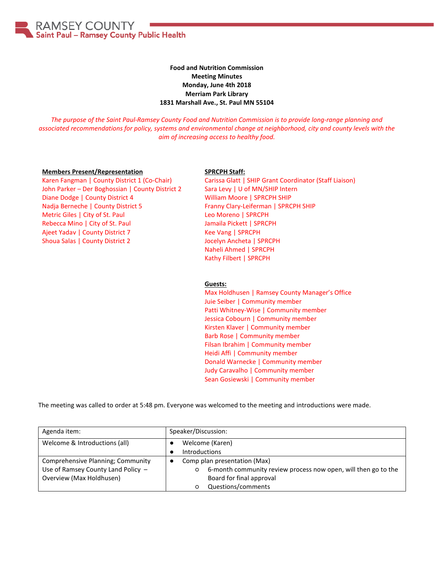RAMSEY COUNTY Saint Paul - Ramsey County Public Health

## **Food and Nutrition Commission Meeting Minutes Monday, June 4th 2018 Merriam Park Library 1831 Marshall Ave., St. Paul MN 55104**

*The purpose of the Saint Paul-Ramsey County Food and Nutrition Commission is to provide long-range planning and associated recommendations for policy, systems and environmental change at neighborhood, city and county levels with the aim of increasing access to healthy food.*

## **Members Present/Representation**

Karen Fangman | County District 1 (Co-Chair) John Parker – Der Boghossian | County District 2 Diane Dodge | County District 4 Nadja Berneche | County District 5 Metric Giles | City of St. Paul Rebecca Mino | City of St. Paul Ajeet Yadav | County District 7 Shoua Salas | County District 2

## **SPRCPH Staff:**

Carissa Glatt | SHIP Grant Coordinator (Staff Liaison) Sara Levy | U of MN/SHIP Intern William Moore | SPRCPH SHIP Franny Clary-Leiferman | SPRCPH SHIP Leo Moreno | SPRCPH Jamaila Pickett | SPRCPH Kee Vang | SPRCPH Jocelyn Ancheta | SPRCPH Naheli Ahmed | SPRCPH Kathy Filbert | SPRCPH

## **Guests:**

Max Holdhusen | Ramsey County Manager's Office Juie Seiber | Community member Patti Whitney-Wise | Community member Jessica Cobourn | Community member Kirsten Klaver | Community member Barb Rose | Community member Filsan Ibrahim | Community member Heidi Affi | Community member Donald Warnecke | Community member Judy Caravalho | Community member Sean Gosiewski | Community member

The meeting was called to order at 5:48 pm. Everyone was welcomed to the meeting and introductions were made.

| Agenda item:                                                                                        | Speaker/Discussion:                                                                                                                                              |  |
|-----------------------------------------------------------------------------------------------------|------------------------------------------------------------------------------------------------------------------------------------------------------------------|--|
| Welcome & Introductions (all)                                                                       | Welcome (Karen)<br><b>Introductions</b>                                                                                                                          |  |
| Comprehensive Planning; Community<br>Use of Ramsey County Land Policy -<br>Overview (Max Holdhusen) | Comp plan presentation (Max)<br>٠<br>6-month community review process now open, will then go to the<br>$\circ$<br>Board for final approval<br>Questions/comments |  |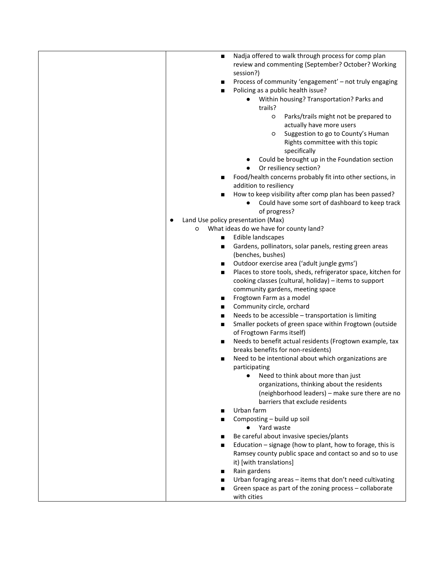| п              | Nadja offered to walk through process for comp plan                     |
|----------------|-------------------------------------------------------------------------|
|                | review and commenting (September? October? Working                      |
|                | session?)                                                               |
| п              | Process of community 'engagement' - not truly engaging                  |
| $\blacksquare$ | Policing as a public health issue?                                      |
|                | Within housing? Transportation? Parks and<br>$\bullet$                  |
|                | trails?                                                                 |
|                | Parks/trails might not be prepared to<br>$\circ$                        |
|                | actually have more users                                                |
|                | Suggestion to go to County's Human<br>O                                 |
|                | Rights committee with this topic                                        |
|                | specifically                                                            |
|                |                                                                         |
|                | Could be brought up in the Foundation section<br>Or resiliency section? |
|                | Food/health concerns probably fit into other sections, in               |
| п              | addition to resiliency                                                  |
|                | How to keep visibility after comp plan has been passed?                 |
| ■              | Could have some sort of dashboard to keep track                         |
|                |                                                                         |
|                | of progress?                                                            |
|                | Land Use policy presentation (Max)                                      |
| O              | What ideas do we have for county land?                                  |
| п              | Edible landscapes                                                       |
| п              | Gardens, pollinators, solar panels, resting green areas                 |
|                | (benches, bushes)                                                       |
| $\blacksquare$ | Outdoor exercise area ('adult jungle gyms')                             |
| п              | Places to store tools, sheds, refrigerator space, kitchen for           |
|                | cooking classes (cultural, holiday) - items to support                  |
|                | community gardens, meeting space<br>Frogtown Farm as a model            |
| п<br>п         | Community circle, orchard                                               |
| $\blacksquare$ | Needs to be accessible - transportation is limiting                     |
| п              | Smaller pockets of green space within Frogtown (outside                 |
|                | of Frogtown Farms itself)                                               |
| п              | Needs to benefit actual residents (Frogtown example, tax                |
|                | breaks benefits for non-residents)                                      |
| ■              | Need to be intentional about which organizations are                    |
|                | participating                                                           |
|                | Need to think about more than just                                      |
|                | organizations, thinking about the residents                             |
|                | (neighborhood leaders) - make sure there are no                         |
|                | barriers that exclude residents                                         |
| ■              | Urban farm                                                              |
| ■              | Composting - build up soil                                              |
|                | Yard waste                                                              |
| ■              | Be careful about invasive species/plants                                |
| ■              | Education - signage (how to plant, how to forage, this is               |
|                | Ramsey county public space and contact so and so to use                 |
|                | it) [with translations]                                                 |
|                | Rain gardens                                                            |
| п              | Urban foraging areas - items that don't need cultivating                |
| ■              | Green space as part of the zoning process - collaborate                 |
|                | with cities                                                             |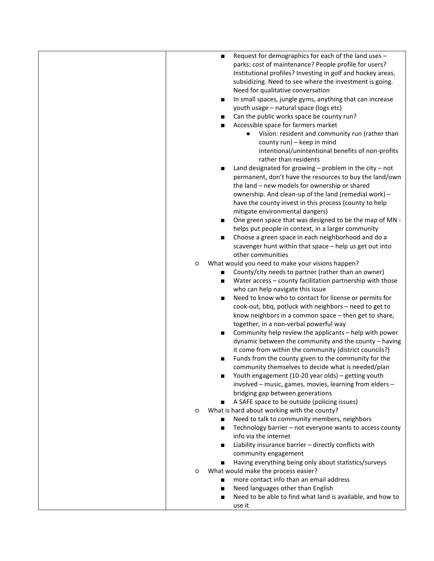| $\blacksquare$ | Request for demographics for each of the land uses -                              |
|----------------|-----------------------------------------------------------------------------------|
|                | parks: cost of maintenance? People profile for users?                             |
|                | Institutional profiles? Investing in golf and hockey areas,                       |
|                | subsidizing. Need to see where the investment is going.                           |
|                | Need for qualitative conversation                                                 |
| п              | In small spaces, jungle gyms, anything that can increase                          |
|                | youth usage - natural space (logs etc)                                            |
|                | Can the public works space be county run?                                         |
| ■              | Accessible space for farmers market                                               |
|                | Vision: resident and community run (rather than                                   |
|                | county run) - keep in mind                                                        |
|                | intentional/unintentional benefits of non-profits                                 |
|                | rather than residents                                                             |
| п              | Land designated for growing $-$ problem in the city $-$ not                       |
|                | permanent, don't have the resources to buy the land/own                           |
|                | the land - new models for ownership or shared                                     |
|                | ownership. And clean-up of the land (remedial work) -                             |
|                | have the county invest in this process (county to help                            |
|                | mitigate environmental dangers)                                                   |
|                | One green space that was designed to be the map of MN -                           |
|                | helps put people in context, in a larger community                                |
| п              | Choose a green space in each neighborhood and do a                                |
|                | scavenger hunt within that space - help us get out into                           |
|                | other communities                                                                 |
| O              | What would you need to make your visions happen?                                  |
| п              | County/city needs to partner (rather than an owner)                               |
| п              | Water access - county facilitation partnership with those                         |
|                | who can help navigate this issue                                                  |
| п              | Need to know who to contact for license or permits for                            |
|                | cook-out, bbq, potluck with neighbors - need to get to                            |
|                | know neighbors in a common space - then get to share,                             |
|                | together, in a non-verbal powerful way                                            |
| $\blacksquare$ | Community help review the applicants - help with power                            |
|                | dynamic between the community and the county - having                             |
|                | it come from within the community (district councils?)                            |
| п              | Funds from the county given to the community for the                              |
|                | community themselves to decide what is needed/plan                                |
|                | Youth engagement (10-20 year olds) - getting youth                                |
|                | involved - music, games, movies, learning from elders -                           |
|                | bridging gap between generations                                                  |
|                | A SAFE space to be outside (policing issues)                                      |
| п              | What is hard about working with the county?                                       |
| O              |                                                                                   |
|                | Need to talk to community members, neighbors                                      |
| $\blacksquare$ | Technology barrier - not everyone wants to access county<br>info via the internet |
|                |                                                                                   |
| ■              | Liability insurance barrier - directly conflicts with                             |
|                | community engagement                                                              |
| $\blacksquare$ | Having everything being only about statistics/surveys                             |
| O              | What would make the process easier?                                               |
| $\blacksquare$ | more contact info than an email address                                           |
| $\blacksquare$ | Need languages other than English                                                 |
| п              | Need to be able to find what land is available, and how to                        |
|                | use it                                                                            |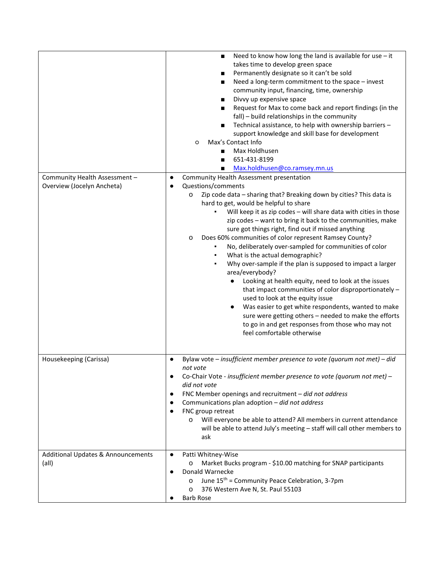|                                    | Need to know how long the land is available for use $-$ it<br>$\blacksquare$<br>takes time to develop green space<br>Permanently designate so it can't be sold<br>Need a long-term commitment to the space - invest<br>п<br>community input, financing, time, ownership<br>Divvy up expensive space<br>Request for Max to come back and report findings (in the<br>fall) - build relationships in the community<br>Technical assistance, to help with ownership barriers -<br>$\blacksquare$<br>support knowledge and skill base for development<br>Max's Contact Info<br>$\circ$<br>Max Holdhusen<br>651-431-8199<br>■<br>Max.holdhusen@co.ramsey.mn.us |
|------------------------------------|----------------------------------------------------------------------------------------------------------------------------------------------------------------------------------------------------------------------------------------------------------------------------------------------------------------------------------------------------------------------------------------------------------------------------------------------------------------------------------------------------------------------------------------------------------------------------------------------------------------------------------------------------------|
| Community Health Assessment -      | Community Health Assessment presentation<br>٠                                                                                                                                                                                                                                                                                                                                                                                                                                                                                                                                                                                                            |
| Overview (Jocelyn Ancheta)         | Questions/comments                                                                                                                                                                                                                                                                                                                                                                                                                                                                                                                                                                                                                                       |
|                                    | Zip code data - sharing that? Breaking down by cities? This data is<br>O                                                                                                                                                                                                                                                                                                                                                                                                                                                                                                                                                                                 |
|                                    | hard to get, would be helpful to share                                                                                                                                                                                                                                                                                                                                                                                                                                                                                                                                                                                                                   |
|                                    | Will keep it as zip codes - will share data with cities in those<br>zip codes - want to bring it back to the communities, make<br>sure got things right, find out if missed anything                                                                                                                                                                                                                                                                                                                                                                                                                                                                     |
|                                    | Does 60% communities of color represent Ramsey County?<br>$\circ$<br>No, deliberately over-sampled for communities of color                                                                                                                                                                                                                                                                                                                                                                                                                                                                                                                              |
|                                    | What is the actual demographic?                                                                                                                                                                                                                                                                                                                                                                                                                                                                                                                                                                                                                          |
|                                    | Why over-sample if the plan is supposed to impact a larger<br>٠<br>area/everybody?                                                                                                                                                                                                                                                                                                                                                                                                                                                                                                                                                                       |
|                                    | Looking at health equity, need to look at the issues<br>$\bullet$<br>that impact communities of color disproportionately -<br>used to look at the equity issue<br>Was easier to get white respondents, wanted to make<br>$\bullet$<br>sure were getting others - needed to make the efforts<br>to go in and get responses from those who may not<br>feel comfortable otherwise                                                                                                                                                                                                                                                                           |
|                                    |                                                                                                                                                                                                                                                                                                                                                                                                                                                                                                                                                                                                                                                          |
| Housekeeping (Carissa)             | Bylaw vote $-$ insufficient member presence to vote (quorum not met) $-$ did<br>$\bullet$<br>not vote                                                                                                                                                                                                                                                                                                                                                                                                                                                                                                                                                    |
|                                    | Co-Chair Vote - insufficient member presence to vote (quorum not met) -                                                                                                                                                                                                                                                                                                                                                                                                                                                                                                                                                                                  |
|                                    | did not vote<br>FNC Member openings and recruitment $-$ did not address                                                                                                                                                                                                                                                                                                                                                                                                                                                                                                                                                                                  |
|                                    | Communications plan adoption - did not address                                                                                                                                                                                                                                                                                                                                                                                                                                                                                                                                                                                                           |
|                                    | FNC group retreat                                                                                                                                                                                                                                                                                                                                                                                                                                                                                                                                                                                                                                        |
|                                    | Will everyone be able to attend? All members in current attendance<br>$\circ$<br>will be able to attend July's meeting - staff will call other members to                                                                                                                                                                                                                                                                                                                                                                                                                                                                                                |
|                                    | ask                                                                                                                                                                                                                                                                                                                                                                                                                                                                                                                                                                                                                                                      |
| Additional Updates & Announcements | Patti Whitney-Wise<br>$\bullet$                                                                                                                                                                                                                                                                                                                                                                                                                                                                                                                                                                                                                          |
| (all)                              | Market Bucks program - \$10.00 matching for SNAP participants<br>O                                                                                                                                                                                                                                                                                                                                                                                                                                                                                                                                                                                       |
|                                    | Donald Warnecke<br>June 15 <sup>th</sup> = Community Peace Celebration, 3-7pm<br>$\circ$                                                                                                                                                                                                                                                                                                                                                                                                                                                                                                                                                                 |
|                                    | 376 Western Ave N, St. Paul 55103<br>O                                                                                                                                                                                                                                                                                                                                                                                                                                                                                                                                                                                                                   |
|                                    | <b>Barb Rose</b>                                                                                                                                                                                                                                                                                                                                                                                                                                                                                                                                                                                                                                         |